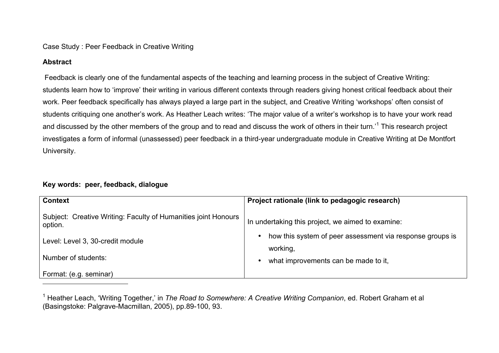### Case Study : Peer Feedback in Creative Writing

## **Abstract**

Feedback is clearly one of the fundamental aspects of the teaching and learning process in the subject of Creative Writing: students learn how to 'improve' their writing in various different contexts through readers giving honest critical feedback about their work. Peer feedback specifically has always played a large part in the subject, and Creative Writing 'workshops' often consist of students critiquing one another's work. As Heather Leach writes: 'The major value of a writer's workshop is to have your work read and discussed by the other members of the group and to read and discuss the work of others in their turn.<sup>11</sup> This research project investigates a form of informal (unassessed) peer feedback in a third-year undergraduate module in Creative Writing at De Montfort University.

# **Key words: peer, feedback, dialogue**

| <b>Context</b>                                                            | Project rationale (link to pedagogic research)                                     |
|---------------------------------------------------------------------------|------------------------------------------------------------------------------------|
| Subject: Creative Writing: Faculty of Humanities joint Honours<br>option. | In undertaking this project, we aimed to examine:                                  |
| Level: Level 3, 30-credit module                                          | how this system of peer assessment via response groups is<br>$\bullet$<br>working, |
| Number of students:                                                       | what improvements can be made to it,                                               |
| Format: (e.g. seminar)                                                    |                                                                                    |
|                                                                           |                                                                                    |

<sup>&</sup>lt;sup>1</sup> Heather Leach, 'Writing Together,' in *The Road to Somewhere: A Creative Writing Companion*, ed. Robert Graham et al (Basingstoke: Palgrave-Macmillan, 2005), pp.89-100, 93.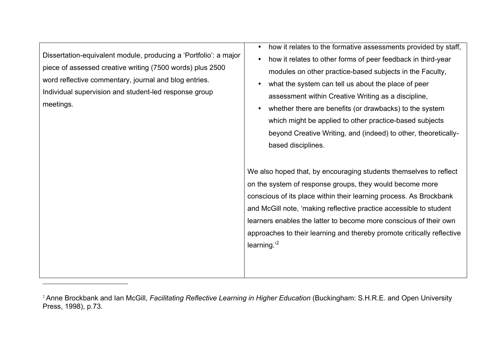Dissertation-equivalent module, producing a 'Portfolio': a major piece of assessed creative writing (7500 words) plus 2500 word reflective commentary, journal and blog entries. Individual supervision and student-led response group meetings.

<u> 1989 - Johann Stein, fransk politik (d. 1989)</u>

- how it relates to the formative assessments provided by staff.
- how it relates to other forms of peer feedback in third-year modules on other practice-based subjects in the Faculty,
- what the system can tell us about the place of peer assessment within Creative Writing as a discipline,
- whether there are benefits (or drawbacks) to the system which might be applied to other practice-based subjects beyond Creative Writing, and (indeed) to other, theoreticallybased disciplines.

We also hoped that, by encouraging students themselves to reflect on the system of response groups, they would become more conscious of its place within their learning process. As Brockbank and McGill note, 'making reflective practice accessible to student learners enables the latter to become more conscious of their own approaches to their learning and thereby promote critically reflective learning.<sup>2</sup>

<sup>2</sup> Anne Brockbank and Ian McGill, *Facilitating Reflective Learning in Higher Education* (Buckingham: S.H.R.E. and Open University Press, 1998), p.73.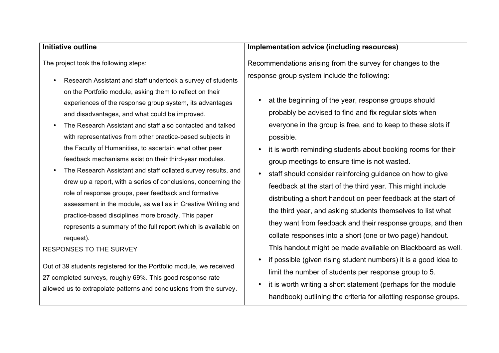#### **Initiative outline**

The project took the following steps:

- Research Assistant and staff undertook a survey of students on the Portfolio module, asking them to reflect on their experiences of the response group system, its advantages and disadvantages, and what could be improved.
- The Research Assistant and staff also contacted and talked with representatives from other practice-based subjects in the Faculty of Humanities, to ascertain what other peer feedback mechanisms exist on their third-year modules.
- The Research Assistant and staff collated survey results, and drew up a report, with a series of conclusions, concerning the role of response groups, peer feedback and formative assessment in the module, as well as in Creative Writing and practice-based disciplines more broadly. This paper represents a summary of the full report (which is available on request).

#### RESPONSES TO THE SURVEY

Out of 39 students registered for the Portfolio module, we received 27 completed surveys, roughly 69%. This good response rate allowed us to extrapolate patterns and conclusions from the survey.

## **Implementation advice (including resources)**

Recommendations arising from the survey for changes to the response group system include the following:

- at the beginning of the year, response groups should probably be advised to find and fix regular slots when everyone in the group is free, and to keep to these slots if possible.
- it is worth reminding students about booking rooms for their group meetings to ensure time is not wasted.
- staff should consider reinforcing guidance on how to give feedback at the start of the third year. This might include distributing a short handout on peer feedback at the start of the third year, and asking students themselves to list what they want from feedback and their response groups, and then collate responses into a short (one or two page) handout. This handout might be made available on Blackboard as well.
- if possible (given rising student numbers) it is a good idea to limit the number of students per response group to 5.
- it is worth writing a short statement (perhaps for the module handbook) outlining the criteria for allotting response groups.